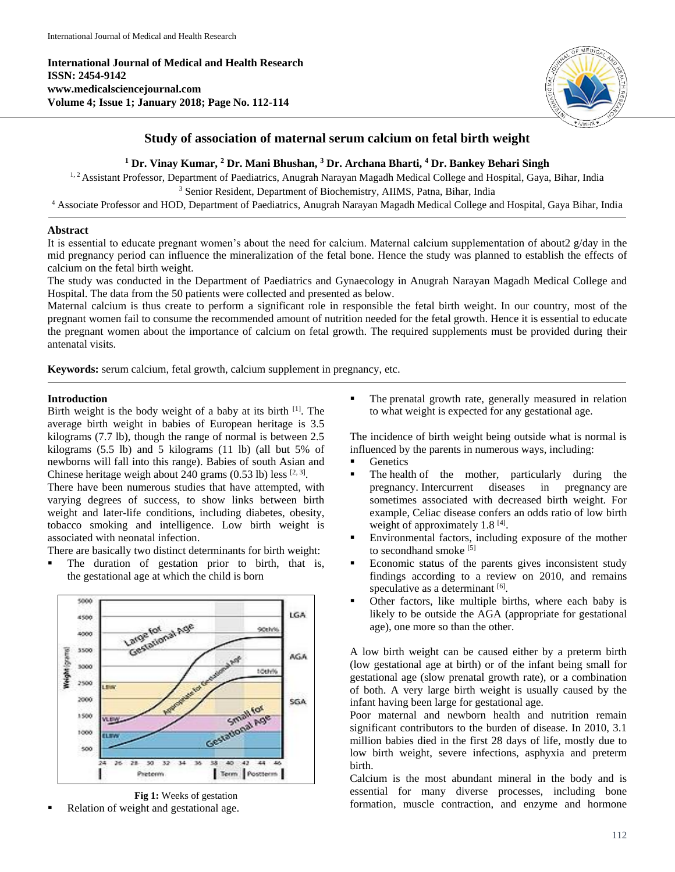**International Journal of Medical and Health Research ISSN: 2454-9142 www.medicalsciencejournal.com Volume 4; Issue 1; January 2018; Page No. 112-114**



# **Study of association of maternal serum calcium on fetal birth weight**

# **<sup>1</sup> Dr. Vinay Kumar, <sup>2</sup> Dr. Mani Bhushan, <sup>3</sup> Dr. Archana Bharti, <sup>4</sup> Dr. Bankey Behari Singh**

<sup>1, 2</sup> Assistant Professor, Department of Paediatrics, Anugrah Narayan Magadh Medical College and Hospital, Gaya, Bihar, India <sup>3</sup> Senior Resident, Department of Biochemistry, AIIMS, Patna, Bihar, India

<sup>4</sup> Associate Professor and HOD, Department of Paediatrics, Anugrah Narayan Magadh Medical College and Hospital, Gaya Bihar, India

# **Abstract**

It is essential to educate pregnant women's about the need for calcium. Maternal calcium supplementation of about2 g/day in the mid pregnancy period can influence the mineralization of the fetal bone. Hence the study was planned to establish the effects of calcium on the fetal birth weight.

The study was conducted in the Department of Paediatrics and Gynaecology in Anugrah Narayan Magadh Medical College and Hospital. The data from the 50 patients were collected and presented as below.

Maternal calcium is thus create to perform a significant role in responsible the fetal birth weight. In our country, most of the pregnant women fail to consume the recommended amount of nutrition needed for the fetal growth. Hence it is essential to educate the pregnant women about the importance of calcium on fetal growth. The required supplements must be provided during their antenatal visits.

**Keywords:** serum calcium, fetal growth, calcium supplement in pregnancy, etc.

# **Introduction**

Birth weight is the body weight of a baby at its birth [1] . The average birth weight in babies of European heritage is 3.5 kilograms (7.7 lb), though the range of normal is between 2.5 kilograms (5.5 lb) and 5 kilograms (11 lb) (all but 5% of newborns will fall into this range). Babies of south Asian and Chinese heritage weigh about 240 grams  $(0.53 \text{ lb})$  less  $^{[2, 3]}$ .

There have been numerous studies that have attempted, with varying degrees of success, to show links between birth weight and later-life conditions, including diabetes, obesity, tobacco smoking and intelligence. Low birth weight is associated with neonatal infection.

There are basically two distinct determinants for birth weight:

 The duration of gestation prior to birth, that is, the gestational age at which the child is born





Relation of weight and gestational age.

 The prenatal growth rate, generally measured in relation to what weight is expected for any gestational age.

The incidence of birth weight being outside what is normal is influenced by the parents in numerous ways, including:

- **Genetics**
- The health of the mother, particularly during the pregnancy. Intercurrent diseases in pregnancy are sometimes associated with decreased birth weight. For example, Celiac disease confers an odds ratio of low birth weight of approximately 1.8<sup>[4]</sup>.
- Environmental factors, including exposure of the mother to secondhand smoke [5]
- Economic status of the parents gives inconsistent study findings according to a review on 2010, and remains speculative as a determinant [6].
- Other factors, like multiple births, where each baby is likely to be outside the AGA (appropriate for gestational age), one more so than the other.

A low birth weight can be caused either by a preterm birth (low gestational age at birth) or of the infant being small for gestational age (slow prenatal growth rate), or a combination of both. A very large birth weight is usually caused by the infant having been large for gestational age.

Poor maternal and newborn health and nutrition remain significant contributors to the burden of disease. In 2010, 3.1 million babies died in the first 28 days of life, mostly due to low birth weight, severe infections, asphyxia and preterm birth.

Calcium is the most abundant mineral in the body and is essential for many diverse processes, including bone formation, muscle contraction, and enzyme and hormone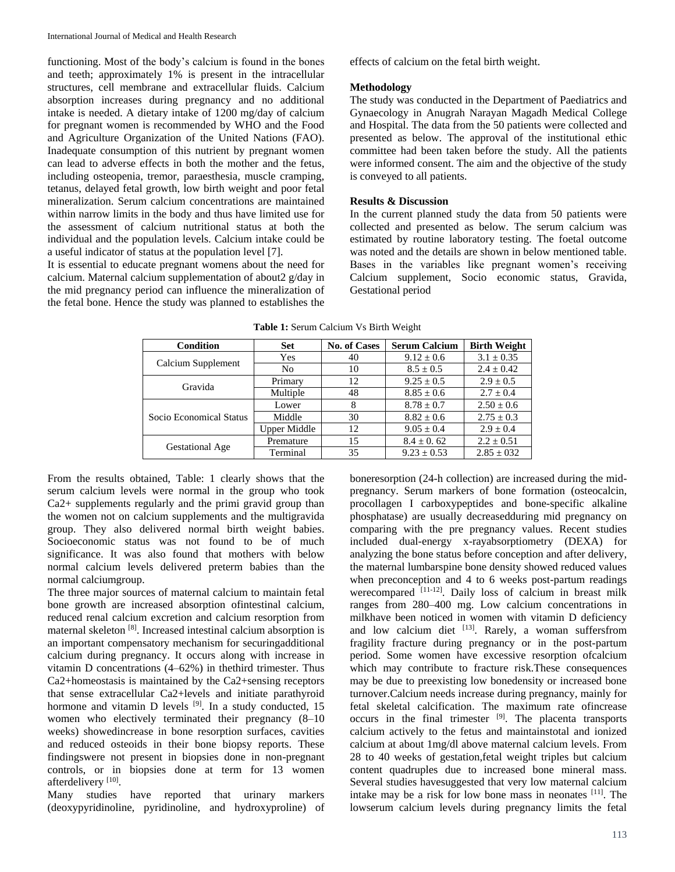functioning. Most of the body's calcium is found in the bones and teeth; approximately 1% is present in the intracellular structures, cell membrane and extracellular fluids. Calcium absorption increases during pregnancy and no additional intake is needed. A dietary intake of 1200 mg/day of calcium for pregnant women is recommended by WHO and the Food and Agriculture Organization of the United Nations (FAO). Inadequate consumption of this nutrient by pregnant women can lead to adverse effects in both the mother and the fetus, including osteopenia, tremor, paraesthesia, muscle cramping, tetanus, delayed fetal growth, low birth weight and poor fetal mineralization. Serum calcium concentrations are maintained within narrow limits in the body and thus have limited use for the assessment of calcium nutritional status at both the individual and the population levels. Calcium intake could be a useful indicator of status at the population level [7].

It is essential to educate pregnant womens about the need for calcium. Maternal calcium supplementation of about2 g/day in the mid pregnancy period can influence the mineralization of the fetal bone. Hence the study was planned to establishes the effects of calcium on the fetal birth weight.

#### **Methodology**

The study was conducted in the Department of Paediatrics and Gynaecology in Anugrah Narayan Magadh Medical College and Hospital. The data from the 50 patients were collected and presented as below. The approval of the institutional ethic committee had been taken before the study. All the patients were informed consent. The aim and the objective of the study is conveyed to all patients.

# **Results & Discussion**

In the current planned study the data from 50 patients were collected and presented as below. The serum calcium was estimated by routine laboratory testing. The foetal outcome was noted and the details are shown in below mentioned table. Bases in the variables like pregnant women's receiving Calcium supplement, Socio economic status, Gravida, Gestational period

| Condition               | <b>Set</b>          | <b>No. of Cases</b> | <b>Serum Calcium</b> | <b>Birth Weight</b> |
|-------------------------|---------------------|---------------------|----------------------|---------------------|
| Calcium Supplement      | Yes                 | 40                  | $9.12 \pm 0.6$       | $3.1 \pm 0.35$      |
|                         | N <sub>0</sub>      | 10                  | $8.5 \pm 0.5$        | $2.4 \pm 0.42$      |
| Gravida                 | Primary             | 12                  | $9.25 \pm 0.5$       | $2.9 \pm 0.5$       |
|                         | Multiple            | 48                  | $8.85 \pm 0.6$       | $2.7 \pm 0.4$       |
| Socio Economical Status | Lower               | 8                   | $8.78 \pm 0.7$       | $2.50 \pm 0.6$      |
|                         | Middle              | 30                  | $8.82 \pm 0.6$       | $2.75 \pm 0.3$      |
|                         | <b>Upper Middle</b> | 12                  | $9.05 \pm 0.4$       | $2.9 \pm 0.4$       |
| Gestational Age         | Premature           | 15                  | $8.4 \pm 0.62$       | $2.2 \pm 0.51$      |
|                         | Terminal            | 35                  | $9.23 \pm 0.53$      | $2.85 \pm 0.32$     |

**Table 1:** Serum Calcium Vs Birth Weight

From the results obtained, Table: 1 clearly shows that the serum calcium levels were normal in the group who took Ca2+ supplements regularly and the primi gravid group than the women not on calcium supplements and the multigravida group. They also delivered normal birth weight babies. Socioeconomic status was not found to be of much significance. It was also found that mothers with below normal calcium levels delivered preterm babies than the normal calciumgroup.

The three major sources of maternal calcium to maintain fetal bone growth are increased absorption ofintestinal calcium, reduced renal calcium excretion and calcium resorption from maternal skeleton [8] . Increased intestinal calcium absorption is an important compensatory mechanism for securingadditional calcium during pregnancy. It occurs along with increase in vitamin D concentrations (4–62%) in thethird trimester. Thus Ca2+homeostasis is maintained by the Ca2+sensing receptors that sense extracellular Ca2+levels and initiate parathyroid hormone and vitamin D levels  $[9]$ . In a study conducted, 15 women who electively terminated their pregnancy (8–10 weeks) showedincrease in bone resorption surfaces, cavities and reduced osteoids in their bone biopsy reports. These findingswere not present in biopsies done in non-pregnant controls, or in biopsies done at term for 13 women afterdelivery<sup>[10]</sup>.

Many studies have reported that urinary markers (deoxypyridinoline, pyridinoline, and hydroxyproline) of boneresorption (24-h collection) are increased during the midpregnancy. Serum markers of bone formation (osteocalcin, procollagen I carboxypeptides and bone-specific alkaline phosphatase) are usually decreasedduring mid pregnancy on comparing with the pre pregnancy values. Recent studies included dual-energy x-rayabsorptiometry (DEXA) for analyzing the bone status before conception and after delivery, the maternal lumbarspine bone density showed reduced values when preconception and 4 to 6 weeks post-partum readings werecompared [11-12]. Daily loss of calcium in breast milk ranges from 280–400 mg. Low calcium concentrations in milkhave been noticed in women with vitamin D deficiency and low calcium diet [13]. Rarely, a woman suffersfrom fragility fracture during pregnancy or in the post-partum period. Some women have excessive resorption ofcalcium which may contribute to fracture risk.These consequences may be due to preexisting low bonedensity or increased bone turnover.Calcium needs increase during pregnancy, mainly for fetal skeletal calcification. The maximum rate ofincrease occurs in the final trimester [9]. The placenta transports calcium actively to the fetus and maintainstotal and ionized calcium at about 1mg/dl above maternal calcium levels. From 28 to 40 weeks of gestation,fetal weight triples but calcium content quadruples due to increased bone mineral mass. Several studies havesuggested that very low maternal calcium intake may be a risk for low bone mass in neonates [11]. The lowserum calcium levels during pregnancy limits the fetal